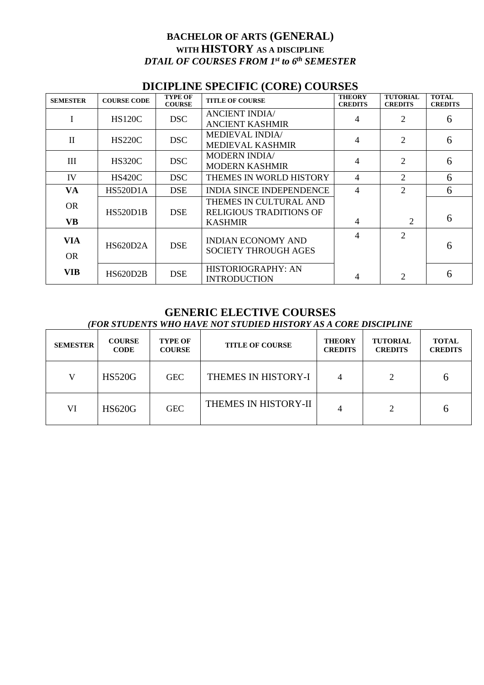# **BACHELOR OF ARTS (GENERAL) WITH HISTORY AS A DISCIPLINE** *DTAIL OF COURSES FROM 1 st to 6 th SEMESTER*

## **DICIPLINE SPECIFIC (CORE) COURSES**

| <b>SEMESTER</b> | <b>COURSE CODE</b> | <b>TYPE OF</b><br><b>COURSE</b> | <b>TITLE OF COURSE</b>                                   | <b>THEORY</b><br><b>CREDITS</b> | <b>TUTORIAL</b><br><b>CREDITS</b> | <b>TOTAL</b><br><b>CREDITS</b> |
|-----------------|--------------------|---------------------------------|----------------------------------------------------------|---------------------------------|-----------------------------------|--------------------------------|
| I               | <b>HS120C</b>      | DSC                             | <b>ANCIENT INDIA/</b><br>ANCIENT KASHMIR                 | 4                               | 2                                 | 6                              |
| $\mathbf{I}$    | <b>HS220C</b>      | <b>DSC</b>                      | <b>MEDIEVAL INDIA/</b><br><b>MEDIEVAL KASHMIR</b>        | 4                               | $\overline{2}$                    | 6                              |
| III             | <b>HS320C</b>      | <b>DSC</b>                      | <b>MODERN INDIA/</b><br><b>MODERN KASHMIR</b>            | $\overline{4}$                  | $\overline{2}$                    | 6                              |
| IV              | <b>HS420C</b>      | DSC                             | THEMES IN WORLD HISTORY                                  | 4                               | $\overline{2}$                    | 6                              |
| <b>VA</b>       | <b>HS520D1A</b>    | <b>DSE</b>                      | <b>INDIA SINCE INDEPENDENCE</b>                          | $\overline{4}$                  | $\mathcal{D}_{\mathcal{L}}$       | 6                              |
| <b>OR</b>       | HS520D1B           | <b>DSE</b>                      | THEMES IN CULTURAL AND<br><b>RELIGIOUS TRADITIONS OF</b> |                                 |                                   | 6                              |
| <b>VB</b>       |                    |                                 | <b>KASHMIR</b>                                           | $\overline{4}$                  | 2                                 |                                |
| <b>VIA</b>      | <b>HS620D2A</b>    | <b>DSE</b>                      | <b>INDIAN ECONOMY AND</b>                                | $\overline{\mathcal{A}}$        | $\overline{2}$                    | 6                              |
| <b>OR</b>       |                    |                                 | <b>SOCIETY THROUGH AGES</b>                              |                                 |                                   |                                |
| <b>VIB</b>      | <b>HS620D2B</b>    | <b>DSE</b>                      | HISTORIOGRAPHY: AN<br><b>INTRODUCTION</b>                | 4                               | $\overline{2}$                    | 6                              |

### **GENERIC ELECTIVE COURSES** *(FOR STUDENTS WHO HAVE NOT STUDIED HISTORY AS A CORE DISCIPLINE*

| <b>SEMESTER</b> | <b>COURSE</b><br><b>CODE</b> | <b>TYPE OF</b><br><b>COURSE</b> | <b>TITLE OF COURSE</b> | <b>THEORY</b><br><b>CREDITS</b> | <b>TUTORIAL</b><br><b>CREDITS</b> | <b>TOTAL</b><br><b>CREDITS</b> |
|-----------------|------------------------------|---------------------------------|------------------------|---------------------------------|-----------------------------------|--------------------------------|
| V               | <b>HS520G</b>                | <b>GEC</b>                      | THEMES IN HISTORY-I    | 4                               |                                   | n                              |
| VI              | <b>HS620G</b>                | <b>GEC</b>                      | THEMES IN HISTORY-II   | 4                               | C                                 | n                              |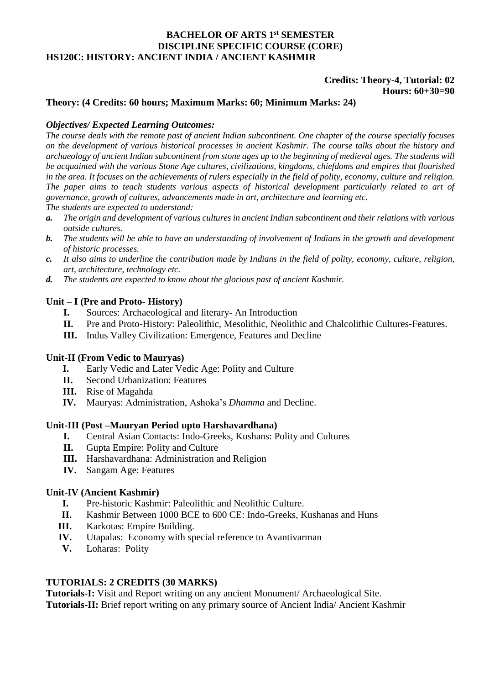#### **BACHELOR OF ARTS 1 st SEMESTER DISCIPLINE SPECIFIC COURSE (CORE) HS120C: HISTORY: ANCIENT INDIA / ANCIENT KASHMIR**

## **Credits: Theory-4, Tutorial: 02 Hours: 60+30=90**

#### **Theory: (4 Credits: 60 hours; Maximum Marks: 60; Minimum Marks: 24)**

#### *Objectives/ Expected Learning Outcomes:*

*The course deals with the remote past of ancient Indian subcontinent. One chapter of the course specially focuses on the development of various historical processes in ancient Kashmir. The course talks about the history and archaeology of ancient Indian subcontinent from stone ages up to the beginning of medieval ages. The students will be acquainted with the various Stone Age cultures, civilizations, kingdoms, chiefdoms and empires that flourished in the area. It focuses on the achievements of rulers especially in the field of polity, economy, culture and religion. The paper aims to teach students various aspects of historical development particularly related to art of governance, growth of cultures, advancements made in art, architecture and learning etc. The students are expected to understand:*

- *a. The origin and development of various cultures in ancient Indian subcontinent and their relations with various outside cultures.*
- *b. The students will be able to have an understanding of involvement of Indians in the growth and development of historic processes.*
- *c. It also aims to underline the contribution made by Indians in the field of polity, economy, culture, religion, art, architecture, technology etc.*
- *d. The students are expected to know about the glorious past of ancient Kashmir.*

### **Unit – I (Pre and Proto- History)**

- **I.** Sources: Archaeological and literary- An Introduction
- **II.** Pre and Proto-History: Paleolithic, Mesolithic, Neolithic and Chalcolithic Cultures-Features.
- **III.** Indus Valley Civilization: Emergence, Features and Decline

#### **Unit-II (From Vedic to Mauryas)**

- **I.** Early Vedic and Later Vedic Age: Polity and Culture
- **II.** Second Urbanization: Features
- **III.** Rise of Magahda
- **IV.** Mauryas: Administration, Ashoka's *Dhamma* and Decline.

#### **Unit-III (Post –Mauryan Period upto Harshavardhana)**

- **I.** Central Asian Contacts: Indo-Greeks, Kushans: Polity and Cultures
- **II.** Gupta Empire: Polity and Culture
- **III.** Harshavardhana: Administration and Religion
- **IV.** Sangam Age: Features

#### **Unit-IV (Ancient Kashmir)**

- **I.** Pre-historic Kashmir: Paleolithic and Neolithic Culture.
- **II.** Kashmir Between 1000 BCE to 600 CE: Indo-Greeks, Kushanas and Huns
- **III.** Karkotas: Empire Building.
- **IV.** Utapalas: Economy with special reference to Avantivarman
- **V.** Loharas: Polity

## **TUTORIALS: 2 CREDITS (30 MARKS)**

**Tutorials-I:** Visit and Report writing on any ancient Monument/ Archaeological Site. **Tutorials-II:** Brief report writing on any primary source of Ancient India/ Ancient Kashmir